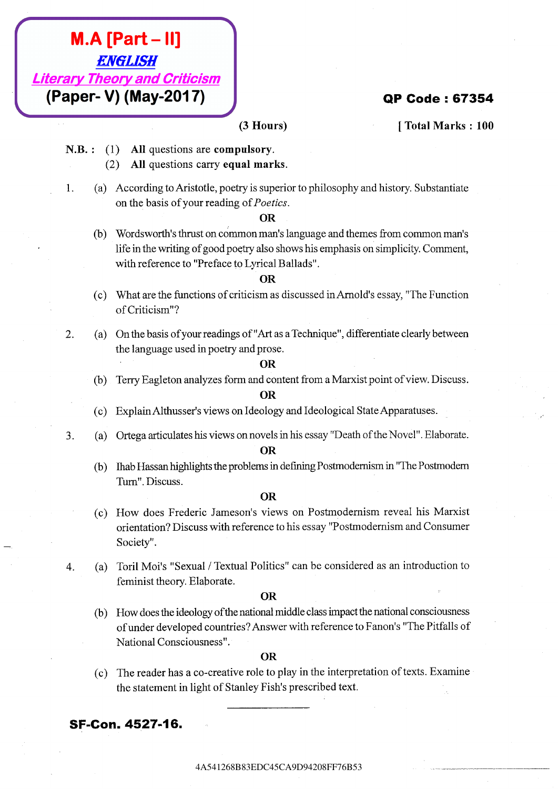- -
	-

- 
- 

- 
- 

- **M.A. Part 1341**<br> **EMGLISS!** Theory and Criticisms<br> **CAB.:** (1) All questions, and computes your computery.<br>
(3) All questions, and computes we computery.<br>
(3) All questions, and computery summits.<br>
(3) All questions, and **M.A. [Part - II]**<br> **Example 28434** (3) **Alternation** are computed by **(1) CO48 CA9D43 CA9D43**<br> **CA9 CA9 (1) Alternation are computed with the second with the second with the second with the present to genetic s M.A. [Part – II]**<br> **Horary Theory and Criticism**<br> **(Paper - V) (May-2017)**<br>
(3 House)<br>
8. 1. (1) All quasitions are computancy.<br>
(3) All quasitions are computancy.<br>
(3) All quasitions are computancy in the system in the **M.A. [Part – II]**<br> **Liferary Theory and Criticism (ABS)**<br> **(Paper-V) (May-2017)**<br>
(ABT – 13. (a) All questions are computed in the set of private and the set of private set of the set of the set of the set of the set of **ATA [Part - II]**<br> **Elferary Theory and Orificials B834**<br> **(Baper-V) (Matay-2017)**<br>
S.B.: (1) All questions correspondences,<br>
S.B.: (2) After questions correspondences.<br>
1. (3) According to Asistotic policine principles,<br> **4A. (Part – H)**<br>
Liberary Theory 2001 (Malay-20117)<br>
(Bapter V) (Malay-20117)<br>
N.R. (3) All guessines are computed investors.<br>
(3) All guessines are computed investors and the computer of the state of the state of the st **EXAMELISE SECONSEE CAST (ABSOLUTE)**<br> **EXAMELISE CAST (ABSOLUTE)**<br> **EXAMELISTER CONSERVATIONS**<br> **EXAMELISTENT (ABSOLUTE)**<br> **EXAMELISTENT (ACTION CONSERVATIONS)**<br> **EXAMELISTENT (ACTION CONSERVATIONS)**<br> **EXAMELISTENT (ACTIO A.A. (Part - III)**<br> **Efferency Theory and Criticis energy inverse contents.** (Total Nueves) [Total Nueves) [Total Nueves) [Total Nueves) [Total Nueves) [2014]<br>
1. (2) All specifies account to energy burnelss.<br>
1. (2) All **(M.A. [Part – III]**<br> **Elizary Theory and Criticistan** (3 Hours) [Total Number 109<br> **CA.B.:** (1) **All questions are computions:**<br>
1. Eq. All questions are computed units of plateauxire.<br>
1. Eq. All questions are computed **(M.A. [Part – III]**<br> **Elizary Theory and Criticistan** (3 Hours) [Total Number 109<br> **CA.B.:** (1) **All questions are computions:**<br>
1. Eq. All questions are computed units of plateauxire.<br>
1. Eq. All questions are computed **(M.A. [Part – III]**<br> **Elizary Theory and Criticistan** (3 Hours) [Total Number 109<br> **CA.B.:** (1) **All questions are computions:**<br>
1. Eq. All questions are computed units of plateauxire.<br>
1. Eq. All questions are computed **(M.A. [Part – II]**<br> **Elionary Theory and Orticlesm**<br>
3. B. : (1) All species correspondents.<br>
(a) Affinite Societies continues computed in the system of the C4342434543<br>
1. (a) According the computer specific politic pol **(ALAS [Part - II]**<br> **Elforary Theory and Criticism**<br> **CABS:** (1) **All specions are computed write.**<br>
(2) All specions are computed write.<br>
(2) All specions are computed with the specifical position of pulsar polynomic st **(A) African Case Case CA9 Case CA9S444**<br> **C**) **Alt** (a) Alt questions are computed recomplements.<br>
(3) Alt questions are computed recomplements of the stars of the system of the stars of the system of the stars of the sy **(A) A. [Part - II]**<br> *Liberary Theory and Criticism*<br> **(B)**<br> **(B)**<br> **C** Danison are equal marks.<br>
1. (a) Attachasis are computed marks.<br>
1. (a) Affection is are equal marks.<br>
1. (a) Associalize African are equal marks.<br> **(M.A. [Part - II]**<br> **EMerary Theory and Criticism**<br>
(A Bruncs) (24 A4 greations are computions) (24 A6 Associated C3 A4 greations are computions) (24 A6 A5454126 CA4<br>
1. (a) According Achieviche, experts inspective cylin **M.A. [Part – II]**<br> **Elistrary Theory and Orthoson <br>
(Paper-V) (May-2017)**<br>
N.B.: (1) Altacentains accompaneary<br>
1. (i) Accompaneary equal and properties applicately accompaneary and the state inclusion of the control of **(ALA (Part - II)**<br>  $EMBLS9T$ <br>  $EBBQT$ **201268**<br> **(Paper-V) (May-2017)**<br>
N.B.: (1) All questions are computed<br>  $\therefore$  (2) According so Aristic (packyis soperior to principal boosphy and locates Sections (b) We consider the pro **(A) A [Part – 11]**<br> **ENERGY TREASA's and Criticisms**<br>
(**Paper-V) (May-2017)**<br>
(3 Recens) (Total Marks 140<br>
2D. A1 quasitions are compulsory.<br>
1. (a) A4 quasitions are compulsory.<br>
1. (a) A5 and the action computer partic **EXACT SET AST CASES CAPT ASSOCIATION** (**ABSOCA)**<br> **CASES CAPT ASSOCIATION** (**ABSOCIATION CASES**<br> **CASES CAPT ASSOCIATION** (**ABSOCIATION CASES**<br> **CASES CAPT ASSOCIATE CAPT ASSOCIATE ASSOCIATE (ABSOCIATE ASSOCIATE AS** 
	-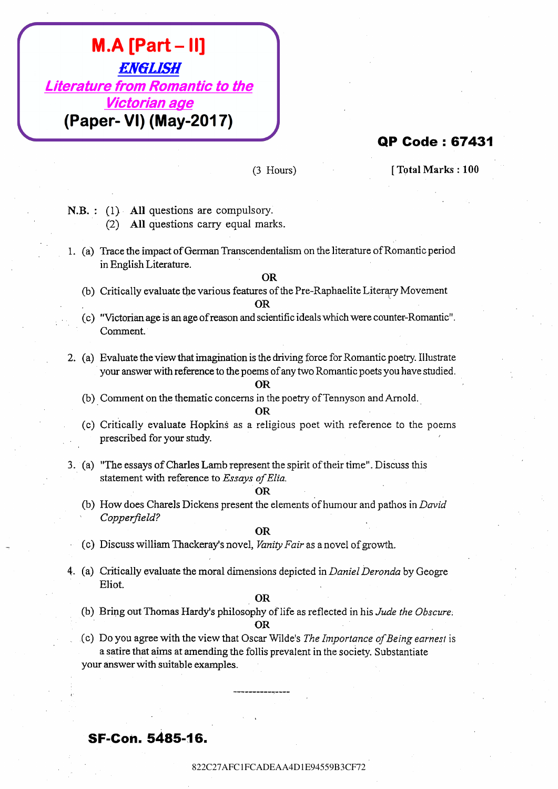# **EXACTION**<br> **EXACTION RECORDING ANGLES (C) AND QUESTIONS CONTINUES (C)**<br> **CONFIDERATION**<br> **C** (2) ALCONS CONTINUES CONTINUES CONTINUES CONTINUES (C)<br> **CONFIDERATIONS CONTINUES CONTINUES CONTINUES**<br> **C** (2) CONFIDERATIONS **EXAMPLE - 11)**<br> **EXACTES**<br> **EXACTES**<br> **EXACTES**<br> **EXACTES**<br> **EXACTES**<br> **EXACTES**<br> **EXACTES**<br> **EXACTES**<br> **EXACTES**<br> **EXACTES**<br> **EXACTES**<br> **EXACTES**<br> **EXACTES**<br> **EXACTES**<br> **EXACTES**<br> **EXACTES**<br> **EXACTES**<br> **EXACTES**<br> **EXACT EXCLUSH**<br> **EXCLUSHER CADEA TRANSPART (TRANSPART)**<br> **(Paper- VI) (May-2017)**<br>
(2) Lissues)<br>
(2) AM operations and exceptions within (i.e., (a) The Second Fig. 2014<br>
(3) Computer and the construction of the internet of Cap **EACT FOR CONTRACT ACTS CAN A42C27**<br> **EACT CADE AND THE TOWARD CONTRACT CADE A43CF7282**<br>
(Paper-VI) (May-2017)<br>
(B) The Code : 67431<br>
(Paper-VI) (May-2017)<br>
(B) The Code is expected for the compute of the computer of the **EXECTLEST**<br> **EXECTLEST**<br> **EXECUTION CONTINUES ARE CONSULTERED**<br> **EXECUTION CONSULTERED**<br> **EXECUTION CONSULTERED**<br> **EXECUTION CONSULTS**<br> **EXECUTION CONSULTS**<br> **EXECUTION CONSULTS**<br> **EXECUTION CONSULTS**<br> **EXECUTION CONSULT EXECRET - III)**<br> **EXECRET CONTINUES AND CONTINUES ARE:** (PROPRIE TO CONTINUES) (The CONTINUES) (PROPRIE TO CONTINUES) (2) The CONTINUES CONTINUES ARE (1) The CONTINUES CONTINUES ARE (2) The CONTINUES CONTINUES AND CONTIN **EXECUTSH**<br> **EXECUTSHE**<br> **CHECT FOR EXECUTION 2022 OF THE SURFACE CONTINUES (CREATIVE CONTINUES)<br>
<b>PARE:**<br>
(C) And operation are a somptiony.<br>
1. All operation are a somptiony.<br>
1. All operation are a somptiony.<br>
1. All o **EXECUTSH**<br> **EXECUTSHE**<br> **CHECT FOR EXECUTION 2022 OF THE SURFACE CONTINUES (CREATIVE CONTINUES)<br>
<b>PARE:**<br>
(C) And operation are a somptiony.<br>
1. All operation are a somptiony.<br>
1. All operation are a somptiony.<br>
1. All o **EXECUTSH**<br> **EXECUTSHE**<br> **CHECT FOR EXECUTION 2022 OF THE SURFACE CONTINUES (CREATIVE CONTINUES)<br>
<b>PARE:**<br>
(C) And operation are a somptiony.<br>
1. All operation are a somptiony.<br>
1. All operation are a somptiony.<br>
1. All o **EXECUTSH**<br> **EXECUTSHE**<br> **CHECT FOR EXECUTION 2022 OF THE SURFACE CONTINUES (CREATIVE CONTINUES)<br>
<b>PARE:**<br>
(C) And operation are a somptiony.<br>
1. All operation are a somptiony.<br>
1. All operation are a somptiony.<br>
1. All o **EXECUTSH**<br> **EXECUTSHE**<br> **CHECT FOR EXECUTION 2022 OF THE SURFACE CONTINUES (CREATIVE CONTINUES)<br>
<b>PARE:**<br>
(C) And operation are a somptiony.<br>
1. All operation are a somptiony.<br>
1. All operation are a somptiony.<br>
1. All o **EXECUTSH**<br> **EXECUTSHE**<br> **CHECT FOR EXECUTION 2022 OF THE SURFACE CONTINUES (CREATIVE CONTINUES)<br>
<b>PARE:**<br>
(C) And operation are a somptiony.<br>
1. All operation are a somptiony.<br>
1. All operation are a somptiony.<br>
1. All o **EXECUTSH**<br> **EXECUTSHE**<br> **CHECT FOR EXECUTION 2022 OF THE SURFACE CONTINUES (CREATIVE CONTINUES)<br>
<b>PARE:**<br>
(C) And operation are a somptiony.<br>
1. All operation are a somptiony.<br>
1. All operation are a somptiony.<br>
1. All o **EXAMPLE THISTER CONTROLS CONTROLS CONTROLS CONTROLS CONTROLS CONTROLS CONTROLS CONTROLS CONTROLS CONTROLS CONTROLS CONTROLS CONTROLS CONTROLS CONTROLS CONTROLS CONTROLS CONTROLS CONTROLS CONTROLS CONTROLS CONTROLS CONTRO EXAMPLE THE SECTION CONTROL CONTROL CONTROL CONTROL CONTROL CONTROL CONTROL CONTROL CONTROL CONTROL CONTROL CONTROL CONTROL CONTROL CONTROL CONTROL CONTROL CONTROL CONTROL CONTROL CONTROL CONTROL CONTROL CONTROL CONTROL EXAMPLONT - HITCHNORY CARD CADEAA4D1E9459**<br> **EXAMPLON CADEAA4D1E945**<br> **EXAMPLE CADEAA4D1E9459**<br> **EXAMPLE CADEAA4D1E94519**<br> **EXAMPLE CADEAA4D1E94519**<br> **EXAMPLE CADEAA4D1E94519**<br> **EXAMPLE CADEAA4D1E94519**<br> **EXAMPLE CADEAA4 EXAMPLE - III)**<br> **EXAMPLE 2222**<br> **EXAMPLE 2222** C27<br> **EXAMPLE 2222** C27<br> **EXAMPLE 2222** C27<br> **CADEA CADEA**<br> **CADEA**<br> **CADEA**<br> **CADEA**<br> **CADEA**<br> **CADEA**<br> **CADEA**<br> **CADEA**<br> **CADEA**<br> **CADEA**<br> **CADEA**<br> **CADEA**<br> **CADEA**<br> **C EXAPCHEFT**<br> **EXAPCHEFT CADEAA4D1E9459**<br> **CPICACTER ANGLESSE**<br> **CPICACTER CADEA**<br> **CPICAL CADEA**<br> **CPICAL CADEA**<br> **CPICATE CADEA**<br> **CPICATE CADEA**<br> **CPICATE CADEA**<br> **CPICATE CADEA**<br> **CPICATE CADEA**<br> **CPICATE CADEA**<br> **CPIC EXAMPLON CAN FRACT-HID**<br> **EXACTION ADVANTAGES**<br> **EXACTION ADVANTAGES**<br> **EXACTION CADEAA1D1E943**<br> **EXACTION CADEAA4D1E943**<br> **EXACTION CADEAA4D1E943**<br> **EXACTION CADEAA** DISTURBATION CONTINUES.<br> **EXACTION CADEA** DISTURBATIO **Example 22**<br> **Example 22** C27 **C27**<br> **C27 C27 C27 C27 C27 C27 C27 C27 C27 C27 C27 C27 C27 C27 C27 C27 C27 C27 C27 C27 C27 C27 C27 C27 C27 C27 C27 C27 C27 C27 C2**

- 
- 

- 
- 
- 

- 
- 

- 
-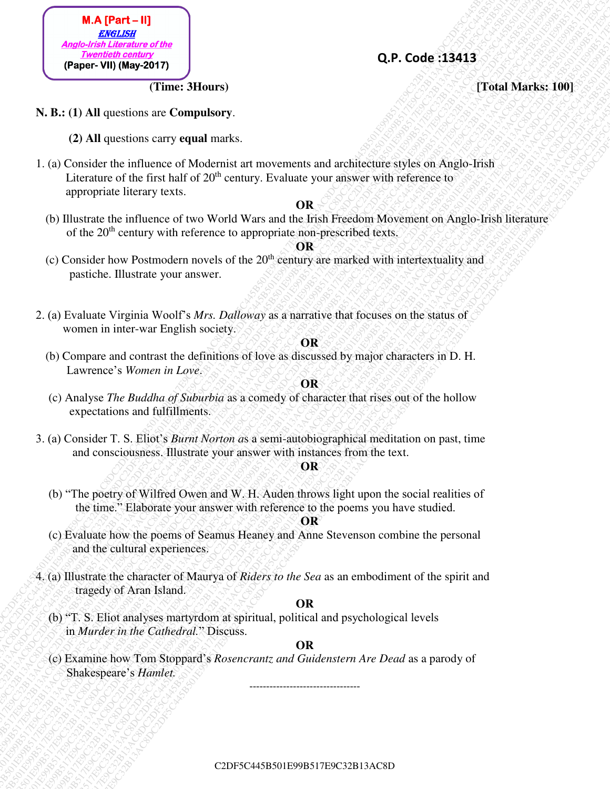

# **Q.P. Code :13413**

**(Time: 3Hours) (Time: 3Hours) (Time: 3Hours)** 

- **N. B.: (1) All** questions are **Compulsory**.
	- **(2) All** questions carry **equal** marks.
- **C**2). A code is 19 E99 C<sub>2</sub> (2) All questions are not approximately and the effect of the effect of the effect of the effect of the effect of the effect of the effect of the effect of the effect of the effect of the effe C<br> **C**2DF5C6<sup>2</sup>**E915**<br>
C**3** AT questions are Computative;<br>
C3 AT questions care Computative;<br>
C3 AT questions care Computative;<br>
C3 AT questions care Computative;<br>
C3 AT questions care computative;<br>
C3 AT questions care c C2DF5C445B501E99B517E9C32B13AC8DC2DF5C445B501E99B517E9C32B13AC8DC2DF5C445B501E99B517E9C32B13AC8DC2DF5C445B501E99B517E9C32B13AC8DC2DF5C445B501E99B517E9C32B13AC8DC2DF5C445B501E99B517E9C32B13AC8D **EAR APPROx.** B<br> **C2PF-CO6E 33443**<br>
CF-CO6E 33443<br>
CF-CO6E 33443<br>
CF-CO6E 33443<br>
CF-CO6E 34443<br>
CF-CO6E 34443<br>
CF-CO6E 34443<br>
LEVEL CHE COFF-COMPART COMPART ACTIONS AT THE CONSULTATION CONSULTATIONS CONSULTATIONS CONSULTA **C**<br> **C** And (Professor C3B)<br>
CFFsc6<sup>25</sup>(B501)<br>
CP. **Code:** 138413<br>
CP. **Code:** 138413<br>
CP. Code: 138413<br>
CP. Code: 138413<br>
CP. Code: 138413<br>
CP. Code: 138413<br>
CP. Code: 149616<br>
CP. All accordos on any distribution and th C2DF5C445B501E99B517E9C32B13AC8DC2DF5C445B501E99B517E9C32B13AC8DC2DF5C445B501E99B517E9C32B13AC8DC2DF5C445B501E99B517E9C32B13AC8DC2DF5C445B501E99B517E9C32B13AC8DC2DF5C445B501E99B517E9C32B13AC8D C2DF5C445B501E99B517E9C32B13AC8DC2DF5C445B501E99B517E9C32B13AC8DC2DF5C445B501E99B517E9C32B13AC8DC2DF5C445B501E99B517E9C32B13AC8DC2DF5C445B501E99B517E9C32B13AC8DC2DF5C445B501E99B517E9C32B13AC8D C2DF5C445B501E99B517E9C32B13AC8DC2DF5C445B501E99B517E9C32B13AC8DC2DF5C445B501E99B517E9C32B13AC8DC2DF5C445B501E99B517E9C32B13AC8DC2DF5C445B501E99B517E9C32B13AC8DC2DF5C445B501E99B517E9C32B13AC8D C2DF5C445B501E99B517E9C32B13AC8DC2DF5C445B501E99B517E9C32B13AC8DC2DF5C445B501E99B517E9C32B13AC8DC2DF5C445B501E99B517E9C32B13AC8DC2DF5C445B501E99B517E9C32B13AC8DC2DF5C445B501E99B517E9C32B13AC8D C2DF5C445B501E99B517E9C32B13AC8DC2DF5C445B501E99B517E9C32B13AC8DC2DF5C445B501E99B517E9C32B13AC8DC2DF5C445B501E99B517E9C32B13AC8DC2DF5C445B501E99B517E9C32B13AC8DC2DF5C445B501E99B517E9C32B13AC8D C2DF5C445B501E99B517E9C32B13AC8DC2DF5C445B501E99B517E9C32B13AC8DC2DF5C445B501E99B517E9C32B13AC8DC2DF5C445B501E99B517E9C32B13AC8DC2DF5C445B501E99B517E9C32B13AC8DC2DF5C445B501E99B517E9C32B13AC8D C2DF5C445B501E99B517E9C32B13AC8DC2DF5C445B501E99B517E9C32B13AC8DC2DF5C445B501E99B517E9C32B13AC8DC2DF5C445B501E99B517E9C32B13AC8DC2DF5C445B501E99B517E9C32B13AC8DC2DF5C445B501E99B517E9C32B13AC8D C2DF5C445B501E99B517E9C32B13AC8DC2DF5C445B501E99B517E9C32B13AC8DC2DF5C445B501E99B517E9C32B13AC8DC2DF5C445B501E99B517E9C32B13AC8DC2DF5C445B501E99B517E9C32B13AC8DC2DF5C445B501E99B517E9C32B13AC8D **C**<br> **C**<sub>2</sub>P<sub>2</sub> Equation According C2DF5C45B517E92C45B517<br>
CFR-B6 (11 All questions curry equal numbers).<br>
CFR-B6 (11 All questions curry equal numbers).<br>
L. (a) Clemballe the interest of Modernic and interest on the and **C**<br> **C**<sub>2</sub>B<sub>5</sub> E9<sub>2</sub>EF (**C**) **C**<sub>2</sub>B<sub>5</sub> (**C**) **C**<sub>2</sub>B<sub>5</sub> (**C**) **C**<sub>2</sub>B<sub>5</sub> (**C**) **C**<sub>2</sub>B<sub>5</sub> (**C**) **C**<sub>2</sub>B<sub>5</sub> (**C**) **C**<sub>3</sub>B517<br>
CALC (**C**) **C C**<sub>3</sub>B13<sup>2</sup>C45 (**C**) **C C C**<sub>3</sub>EF (**C**) **C C C**<sub>3</sub>EF (**C**) **C C C** C2DF5C445B501E99B517E9C32B13AC8DC2DF5C445B501E99B517E9C32B13AC8DC2DF5C445B501E99B517E9C32B13AC8DC2DF5C445B501E99B517E9C32B13AC8DC2DF5C445B501E99B517E9C32B13AC8DC2DF5C445B501E99B517E9C32B13AC8D **CALC**<br> **C21** E1.3 (a) Consider the unit material structure)<br> **C21**. **C**<sub>2</sub> Code 138413<br>
C<sub>2</sub> C (a) Consider the unit material case<br>
1. (a) Consider the unit material case (a) Modernial and monotones and analytical struct **CFF C5C4545**<br> **CFF** C5C44545 CFF C6C453845<br>
CFF C6C45454545 CF<br>
CFF C6C454545454545<br>
CFF C6C45454545454545<br>
CFF C6C4545454545454545<br>
CFF C6C456454545454545456<br>
LGC CONSider the influence with orthosoic and the constructi **EXAMPLE 19**<br> **C2DF5C451501E91517E91E91**<br> **C2DF5C451517E91E91**<br> **C2DF5C445B517E91E91**<br> **C2DF5C445B517E91E91**<br> **C2DF5C445B517E91E91**<br> **C2DF5C445E61**<br> **C2DF5C445E61**<br> **C2DF5C445E61**<br> **C2DF5C445E61**<br> **C2DF5C445E61**<br> **C3DF5C4** C2DF5C445B501E99B517E9C32B13AC8DC2DF5C445B501E99B517E9C32B13AC8DC2DF5C445B501E99B517E9C32B13AC8DC2DF5C445B501E99B517E9C32B13AC8DC2DF5C445B501E99B517E9C32B13AC8DC2DF5C445B501E99B517E9C32B13AC8D 1. (a) Consider the influence of Modernist art movements and architecture styles on Anglo-Irish Literature of the first half of  $20<sup>th</sup>$  century. Evaluate your answer with reference to appropriate literary texts.

# **OR**

(b) Illustrate the influence of two World Wars and the Irish Freedom Movement on Anglo-Irish literature of the 20<sup>th</sup> century with reference to appropriate non-prescribed texts.

# **OR**

- (c) Consider how Postmodern novels of the  $20<sup>th</sup>$  century are marked with intertextuality and pastiche. Illustrate your answer.
- 2. (a) Evaluate Virginia Woolf's *Mrs. Dalloway* as a narrative that focuses on the status of women in inter-war English society.

# **OR**

(b) Compare and contrast the definitions of love as discussed by major characters in D. H. Lawrence's *Women in Love*.

# **OR**

- (c) Analyse *The Buddha of Suburbia* as a comedy of character that rises out of the hollow expectations and fulfillments.
- 3. (a) Consider T. S. Eliot's *Burnt Norton a*s a semi-autobiographical meditation on past, time and consciousness. Illustrate your answer with instances from the text.

# **OR**

 (b) "The poetry of Wilfred Owen and W. H. Auden throws light upon the social realities of the time." Elaborate your answer with reference to the poems you have studied.

# **OR**

- (c) Evaluate how the poems of Seamus Heaney and Anne Stevenson combine the personal and the cultural experiences.
- 4. (a) Illustrate the character of Maurya of *Riders to the Sea* as an embodiment of the spirit and tragedy of Aran Island.

# **OR**

(b) "T. S. Eliot analyses martyrdom at spiritual, political and psychological levels in *Murder in the Cathedral.*" Discuss.

# **ARALDAR BRANDAR SARA DR**

 (c) Examine how Tom Stoppard's *Rosencrantz and Guidenstern Are Dead* as a parody of Shakespeare's *Hamlet.* ---------------------------------